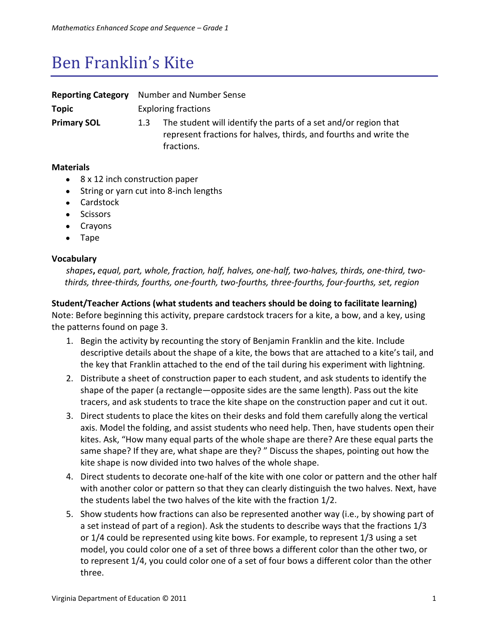### Ben Franklin's Kite

| <b>Reporting Category</b> | Number and Number Sense    |                                                                                                                                                    |
|---------------------------|----------------------------|----------------------------------------------------------------------------------------------------------------------------------------------------|
| <b>Topic</b>              | <b>Exploring fractions</b> |                                                                                                                                                    |
| <b>Primary SOL</b>        | 1.3                        | The student will identify the parts of a set and/or region that<br>represent fractions for halves, thirds, and fourths and write the<br>fractions. |

#### **Materials**

- 8 x 12 inch construction paper
- String or yarn cut into 8-inch lengths
- Cardstock
- Scissors
- Crayons
- Tape

#### **Vocabulary**

*shapes***,** *equal, part, whole, fraction, half, halves, one-half, two-halves, thirds, one-third, two thirds, three-thirds, fourths, one-fourth, two-fourths, three-fourths, four-fourths, set, region*

**Student/Teacher Actions (what students and teachers should be doing to facilitate learning)** Note: Before beginning this activity, prepare cardstock tracers for a kite, a bow, and a key, using the patterns found on page 3.

- 1. Begin the activity by recounting the story of Benjamin Franklin and the kite. Include descriptive details about the shape of a kite, the bows that are attached to a kite's tail, and the key that Franklin attached to the end of the tail during his experiment with lightning.
- 2. Distribute a sheet of construction paper to each student, and ask students to identify the shape of the paper (a rectangle—opposite sides are the same length). Pass out the kite tracers, and ask students to trace the kite shape on the construction paper and cut it out.
- 3. Direct students to place the kites on their desks and fold them carefully along the vertical axis. Model the folding, and assist students who need help. Then, have students open their kites. Ask, "How many equal parts of the whole shape are there? Are these equal parts the same shape? If they are, what shape are they? " Discuss the shapes, pointing out how the kite shape is now divided into two halves of the whole shape.
- 4. Direct students to decorate one-half of the kite with one color or pattern and the other half with another color or pattern so that they can clearly distinguish the two halves. Next, have the students label the two halves of the kite with the fraction 1/2.
- 5. Show students how fractions can also be represented another way (i.e., by showing part of a set instead of part of a region). Ask the students to describe ways that the fractions 1/3 or 1/4 could be represented using kite bows. For example, to represent 1/3 using a set model, you could color one of a set of three bows a different color than the other two, or to represent 1/4, you could color one of a set of four bows a different color than the other three.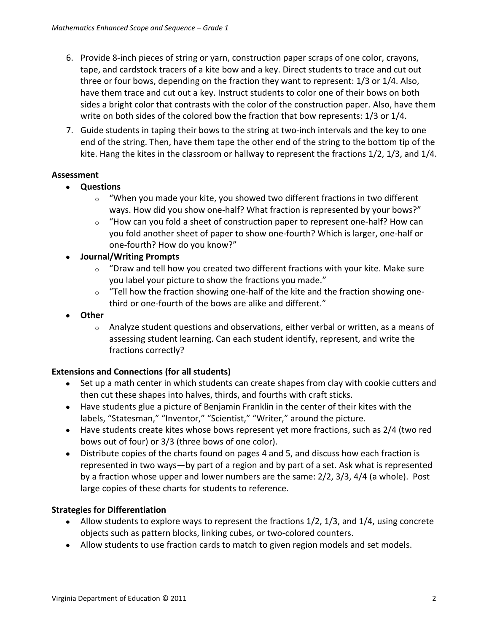- 6. Provide 8-inch pieces of string or yarn, construction paper scraps of one color, crayons, tape, and cardstock tracers of a kite bow and a key. Direct students to trace and cut out three or four bows, depending on the fraction they want to represent: 1/3 or 1/4. Also, have them trace and cut out a key. Instruct students to color one of their bows on both sides a bright color that contrasts with the color of the construction paper. Also, have them write on both sides of the colored bow the fraction that bow represents: 1/3 or 1/4.
- 7. Guide students in taping their bows to the string at two-inch intervals and the key to one end of the string. Then, have them tape the other end of the string to the bottom tip of the kite. Hang the kites in the classroom or hallway to represent the fractions 1/2, 1/3, and 1/4.

#### **Assessment**

- $\bullet$ **Questions**
	- $\circ$  "When you made your kite, you showed two different fractions in two different ways. How did you show one-half? What fraction is represented by your bows?"
	- $\circ$  "How can you fold a sheet of construction paper to represent one-half? How can you fold another sheet of paper to show one-fourth? Which is larger, one-half or one-fourth? How do you know?"
- **Journal/Writing Prompts**
	- $\circ$  "Draw and tell how you created two different fractions with your kite. Make sure you label your picture to show the fractions you made."
	- $\circ$  "Tell how the fraction showing one-half of the kite and the fraction showing onethird or one-fourth of the bows are alike and different."
- **Other**
	- $\circ$  Analyze student questions and observations, either verbal or written, as a means of assessing student learning. Can each student identify, represent, and write the fractions correctly?

#### **Extensions and Connections (for all students)**

- Set up a math center in which students can create shapes from clay with cookie cutters and  $\bullet$ then cut these shapes into halves, thirds, and fourths with craft sticks.
- Have students glue a picture of Benjamin Franklin in the center of their kites with the labels, "Statesman," "Inventor," "Scientist," "Writer," around the picture.
- Have students create kites whose bows represent yet more fractions, such as 2/4 (two red bows out of four) or 3/3 (three bows of one color).
- Distribute copies of the charts found on pages 4 and 5, and discuss how each fraction is  $\bullet$ represented in two ways—by part of a region and by part of a set. Ask what is represented by a fraction whose upper and lower numbers are the same: 2/2, 3/3, 4/4 (a whole). Post large copies of these charts for students to reference.

#### **Strategies for Differentiation**

- $\bullet$  Allow students to explore ways to represent the fractions 1/2, 1/3, and 1/4, using concrete objects such as pattern blocks, linking cubes, or two-colored counters.
- Allow students to use fraction cards to match to given region models and set models.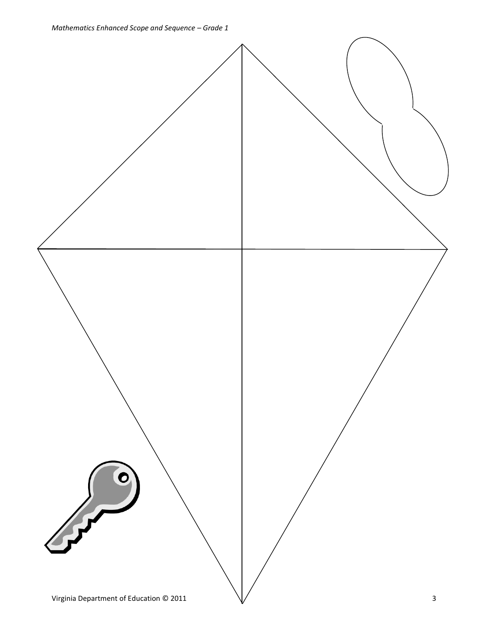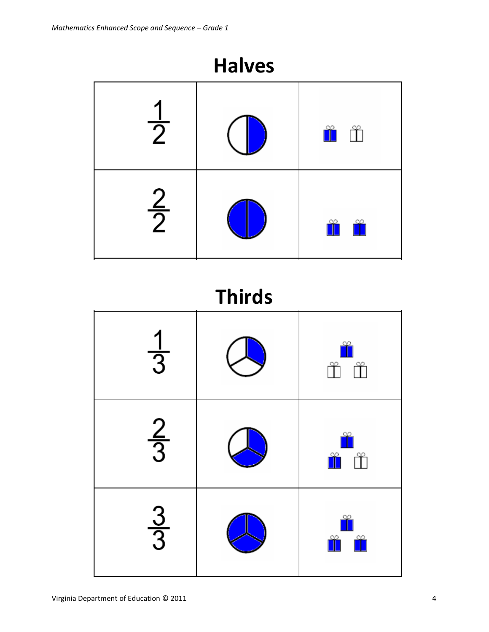# **Halves**  $\frac{1}{2}$ Ů  $rac{2}{2}$

# **Thirds**